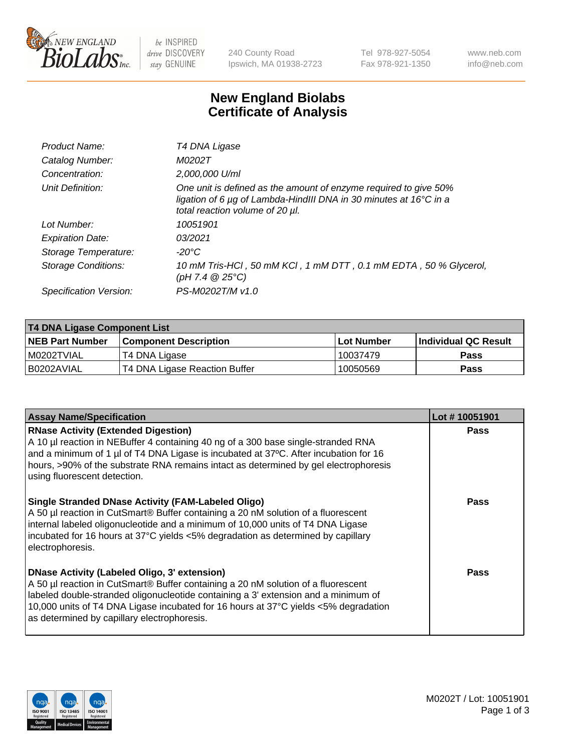

be INSPIRED drive DISCOVERY stay GENUINE

240 County Road Ipswich, MA 01938-2723 Tel 978-927-5054 Fax 978-921-1350 www.neb.com info@neb.com

## **New England Biolabs Certificate of Analysis**

| T4 DNA Ligase                                                                                                                                                                           |
|-----------------------------------------------------------------------------------------------------------------------------------------------------------------------------------------|
| M0202T                                                                                                                                                                                  |
| 2,000,000 U/ml                                                                                                                                                                          |
| One unit is defined as the amount of enzyme required to give 50%<br>ligation of 6 $\mu$ g of Lambda-HindIII DNA in 30 minutes at 16 $\degree$ C in a<br>total reaction volume of 20 µl. |
| 10051901                                                                                                                                                                                |
| 03/2021                                                                                                                                                                                 |
| $-20^{\circ}$ C                                                                                                                                                                         |
| 10 mM Tris-HCl, 50 mM KCl, 1 mM DTT, 0.1 mM EDTA, 50 % Glycerol,<br>(pH 7.4 $@25°C$ )                                                                                                   |
| PS-M0202T/M v1.0                                                                                                                                                                        |
|                                                                                                                                                                                         |

| <b>T4 DNA Ligase Component List</b> |                               |            |                             |  |
|-------------------------------------|-------------------------------|------------|-----------------------------|--|
| <b>NEB Part Number</b>              | <b>Component Description</b>  | Lot Number | <b>Individual QC Result</b> |  |
| I M0202TVIAL                        | T4 DNA Ligase                 | 10037479   | <b>Pass</b>                 |  |
| I B0202AVIAL                        | T4 DNA Ligase Reaction Buffer | 10050569   | <b>Pass</b>                 |  |

| <b>Assay Name/Specification</b>                                                                                                                                                                                                                                                                                                                                      | Lot #10051901 |
|----------------------------------------------------------------------------------------------------------------------------------------------------------------------------------------------------------------------------------------------------------------------------------------------------------------------------------------------------------------------|---------------|
| <b>RNase Activity (Extended Digestion)</b><br>A 10 µl reaction in NEBuffer 4 containing 40 ng of a 300 base single-stranded RNA<br>and a minimum of 1 $\mu$ of T4 DNA Ligase is incubated at 37°C. After incubation for 16<br>hours, >90% of the substrate RNA remains intact as determined by gel electrophoresis<br>using fluorescent detection.                   | <b>Pass</b>   |
| <b>Single Stranded DNase Activity (FAM-Labeled Oligo)</b><br>A 50 µl reaction in CutSmart® Buffer containing a 20 nM solution of a fluorescent<br>internal labeled oligonucleotide and a minimum of 10,000 units of T4 DNA Ligase<br>incubated for 16 hours at 37°C yields <5% degradation as determined by capillary<br>electrophoresis.                            | Pass          |
| <b>DNase Activity (Labeled Oligo, 3' extension)</b><br>A 50 µl reaction in CutSmart® Buffer containing a 20 nM solution of a fluorescent<br>labeled double-stranded oligonucleotide containing a 3' extension and a minimum of<br>10,000 units of T4 DNA Ligase incubated for 16 hours at 37°C yields <5% degradation<br>as determined by capillary electrophoresis. | Pass          |

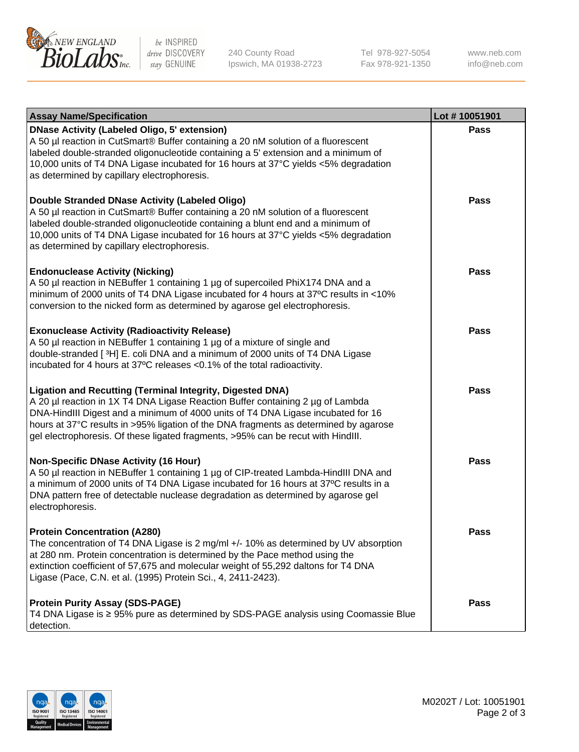

be INSPIRED drive DISCOVERY stay GENUINE

240 County Road Ipswich, MA 01938-2723 Tel 978-927-5054 Fax 978-921-1350

www.neb.com info@neb.com

| <b>Assay Name/Specification</b>                                                                                                                                                                                                                                                                                                                                                                             | Lot #10051901 |
|-------------------------------------------------------------------------------------------------------------------------------------------------------------------------------------------------------------------------------------------------------------------------------------------------------------------------------------------------------------------------------------------------------------|---------------|
| <b>DNase Activity (Labeled Oligo, 5' extension)</b><br>A 50 µl reaction in CutSmart® Buffer containing a 20 nM solution of a fluorescent<br>labeled double-stranded oligonucleotide containing a 5' extension and a minimum of<br>10,000 units of T4 DNA Ligase incubated for 16 hours at 37°C yields <5% degradation<br>as determined by capillary electrophoresis.                                        | <b>Pass</b>   |
| Double Stranded DNase Activity (Labeled Oligo)<br>A 50 µl reaction in CutSmart® Buffer containing a 20 nM solution of a fluorescent<br>labeled double-stranded oligonucleotide containing a blunt end and a minimum of<br>10,000 units of T4 DNA Ligase incubated for 16 hours at 37°C yields <5% degradation<br>as determined by capillary electrophoresis.                                                | <b>Pass</b>   |
| <b>Endonuclease Activity (Nicking)</b><br>A 50 µl reaction in NEBuffer 1 containing 1 µg of supercoiled PhiX174 DNA and a<br>minimum of 2000 units of T4 DNA Ligase incubated for 4 hours at 37°C results in <10%<br>conversion to the nicked form as determined by agarose gel electrophoresis.                                                                                                            | <b>Pass</b>   |
| <b>Exonuclease Activity (Radioactivity Release)</b><br>A 50 µl reaction in NEBuffer 1 containing 1 µg of a mixture of single and<br>double-stranded [3H] E. coli DNA and a minimum of 2000 units of T4 DNA Ligase<br>incubated for 4 hours at 37°C releases <0.1% of the total radioactivity.                                                                                                               | <b>Pass</b>   |
| Ligation and Recutting (Terminal Integrity, Digested DNA)<br>A 20 µl reaction in 1X T4 DNA Ligase Reaction Buffer containing 2 µg of Lambda<br>DNA-HindIII Digest and a minimum of 4000 units of T4 DNA Ligase incubated for 16<br>hours at 37°C results in >95% ligation of the DNA fragments as determined by agarose<br>gel electrophoresis. Of these ligated fragments, >95% can be recut with HindIII. | Pass          |
| <b>Non-Specific DNase Activity (16 Hour)</b><br>A 50 µl reaction in NEBuffer 1 containing 1 µg of CIP-treated Lambda-HindIII DNA and<br>a minimum of 2000 units of T4 DNA Ligase incubated for 16 hours at 37°C results in a<br>DNA pattern free of detectable nuclease degradation as determined by agarose gel<br>electrophoresis.                                                                        | <b>Pass</b>   |
| <b>Protein Concentration (A280)</b><br>The concentration of T4 DNA Ligase is 2 mg/ml +/- 10% as determined by UV absorption<br>at 280 nm. Protein concentration is determined by the Pace method using the<br>extinction coefficient of 57,675 and molecular weight of 55,292 daltons for T4 DNA<br>Ligase (Pace, C.N. et al. (1995) Protein Sci., 4, 2411-2423).                                           | Pass          |
| <b>Protein Purity Assay (SDS-PAGE)</b><br>T4 DNA Ligase is ≥ 95% pure as determined by SDS-PAGE analysis using Coomassie Blue<br>detection.                                                                                                                                                                                                                                                                 | Pass          |